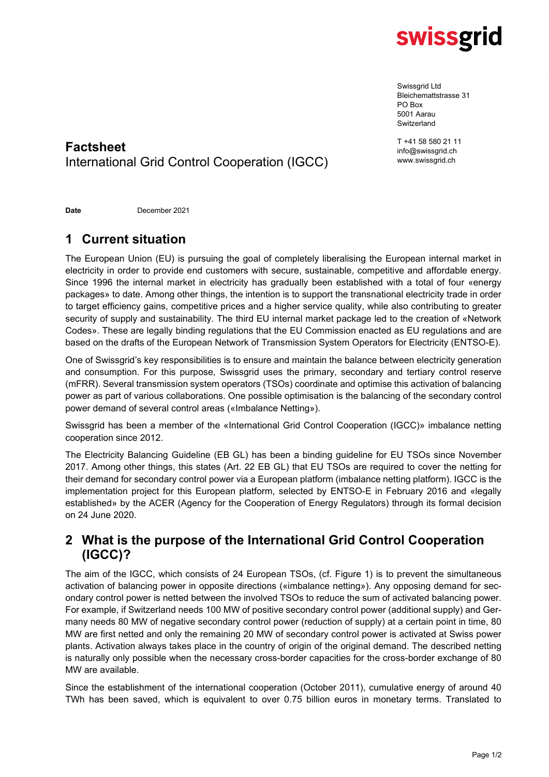

Swissgrid Ltd Bleichemattstrasse 31 PO Box 5001 Aarau **Switzerland** 

T +41 58 580 21 11 info@swissgrid.ch www.swissgrid.ch

### **Factsheet** International Grid Control Cooperation (IGCC)

**Date** December 2021

## **1 Current situation**

The European Union (EU) is pursuing the goal of completely liberalising the European internal market in electricity in order to provide end customers with secure, sustainable, competitive and affordable energy. Since 1996 the internal market in electricity has gradually been established with a total of four «energy packages» to date. Among other things, the intention is to support the transnational electricity trade in order to target efficiency gains, competitive prices and a higher service quality, while also contributing to greater security of supply and sustainability. The third EU internal market package led to the creation of «Network Codes». These are legally binding regulations that the EU Commission enacted as EU regulations and are based on the drafts of the European Network of Transmission System Operators for Electricity (ENTSO-E).

One of Swissgrid's key responsibilities is to ensure and maintain the balance between electricity generation and consumption. For this purpose, Swissgrid uses the primary, secondary and tertiary control reserve (mFRR). Several transmission system operators (TSOs) coordinate and optimise this activation of balancing power as part of various collaborations. One possible optimisation is the balancing of the secondary control power demand of several control areas («Imbalance Netting»).

Swissgrid has been a member of the «International Grid Control Cooperation (IGCC)» imbalance netting cooperation since 2012.

The Electricity Balancing Guideline (EB GL) has been a binding guideline for EU TSOs since November 2017. Among other things, this states (Art. 22 EB GL) that EU TSOs are required to cover the netting for their demand for secondary control power via a European platform (imbalance netting platform). IGCC is the implementation project for this European platform, selected by ENTSO-E in February 2016 and «legally established» by the ACER (Agency for the Cooperation of Energy Regulators) through its formal decision on 24 June 2020.

#### **2 What is the purpose of the International Grid Control Cooperation (IGCC)?**

The aim of the IGCC, which consists of 24 European TSOs, (cf. Figure 1) is to prevent the simultaneous activation of balancing power in opposite directions («imbalance netting»). Any opposing demand for secondary control power is netted between the involved TSOs to reduce the sum of activated balancing power. For example, if Switzerland needs 100 MW of positive secondary control power (additional supply) and Germany needs 80 MW of negative secondary control power (reduction of supply) at a certain point in time, 80 MW are first netted and only the remaining 20 MW of secondary control power is activated at Swiss power plants. Activation always takes place in the country of origin of the original demand. The described netting is naturally only possible when the necessary cross-border capacities for the cross-border exchange of 80 MW are available.

Since the establishment of the international cooperation (October 2011), cumulative energy of around 40 TWh has been saved, which is equivalent to over 0.75 billion euros in monetary terms. Translated to